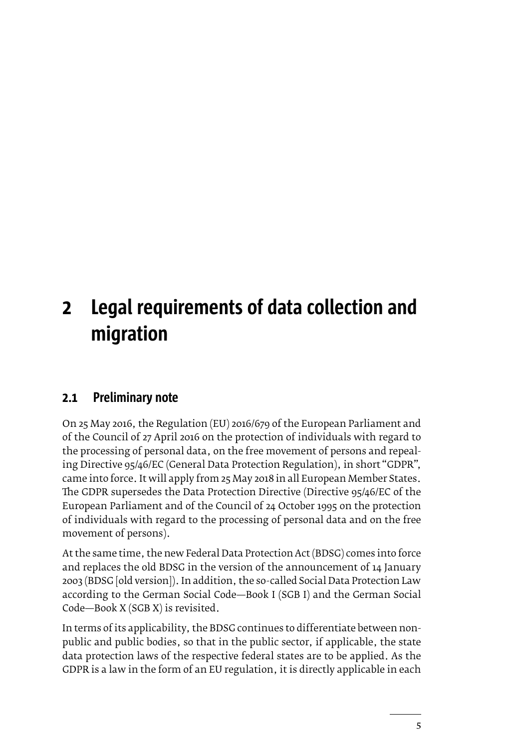# **2 Legal requirements of data collection and migration**

# **2.1 Preliminary note**

On 25 May 2016, the Regulation (EU) 2016/679 of the European Parliament and of the Council of 27 April 2016 on the protection of individuals with regard to the processing of personal data, on the free movement of persons and repealing Directive 95/46/EC (General Data Protection Regulation), in short "GDPR", came into force. It will apply from 25 May 2018 in all European Member States. The GDPR supersedes the Data Protection Directive (Directive 95/46/EC of the European Parliament and of the Council of 24 October 1995 on the protection of individuals with regard to the processing of personal data and on the free movement of persons).

At the same time, the new Federal Data Protection Act (BDSG) comes into force and replaces the old BDSG in the version of the announcement of 14 January 2003 (BDSG [old version]). In addition, the so-called Social Data Protection Law according to the German Social Code—Book I (SGB I) and the German Social Code—Book X (SGB X) is revisited.

In terms of its applicability, the BDSG continues to differentiate between nonpublic and public bodies, so that in the public sector, if applicable, the state data protection laws of the respective federal states are to be applied. As the GDPR is a law in the form of an EU regulation, it is directly applicable in each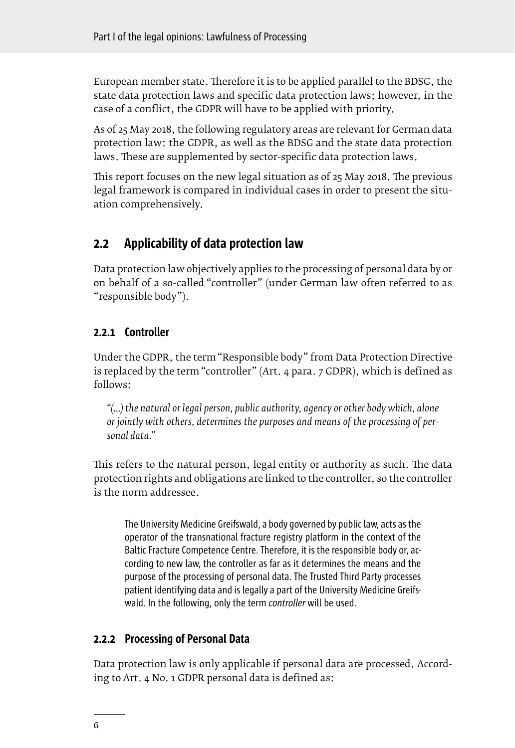European member state. Therefore it is to be applied parallel to the BDSG, the state data protection laws and specific data protection laws; however, in the case of a conflict, the GDPR will have to be applied with priority.

As of 25 May 2018, the following regulatory areas are relevant for German data protection law: the GDPR, as well as the BDSG and the state data protection laws. These are supplemented by sector-specific data protection laws.

This report focuses on the new legal situation as of 25 May 2018. The previous legal framework is compared in individual cases in order to present the situation comprehensively.

# **2.2 Applicability of data protection law**

Data protection law objectively applies to the processing of personal data by or on behalf of a so-called "controller" (under German law often referred to as "responsible body").

## **2.2.1 Controller**

Under the GDPR, the term "Responsible body" from Data Protection Directive is replaced by the term "controller" (Art. 4 para. 7 GDPR), which is defined as follows:

*"(…) the natural or legal person, public authority, agency or other body which, alone or jointly with others, determines the purposes and means of the processing of personal data."*

This refers to the natural person, legal entity or authority as such. The data protection rights and obligations are linked to the controller, so the controller is the norm addressee.

The University Medicine Greifswald, a body governed by public law, acts as the operator of the transnational fracture registry platform in the context of the Baltic Fracture Competence Centre. Therefore, it is the responsible body or, according to new law, the controller as far as it determines the means and the purpose of the processing of personal data. The Trusted Third Party processes patient identifying data and is legally a part of the University Medicine Greifswald. In the following, only the term *controller* will be used.

#### **2.2.2 Processing of Personal Data**

Data protection law is only applicable if personal data are processed. According to Art. 4 No. 1 GDPR personal data is defined as: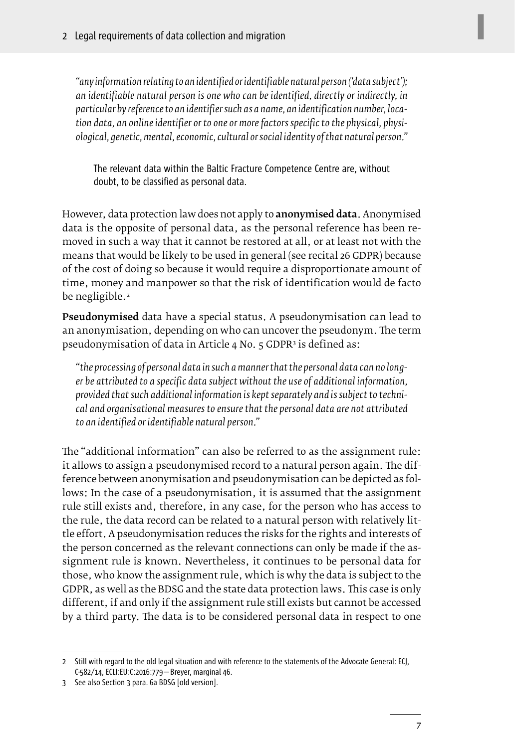*"any information relating to an identified or identifiable natural person ('data subject'); an identifiable natural person is one who can be identified, directly or indirectly, in particular by reference to an identifier such as a name, an identification number, location data, an online identifier or to one or more factors specific to the physical, physiological, genetic, mental, economic, cultural or social identity of that natural person."*

The relevant data within the Baltic Fracture Competence Centre are, without doubt, to be classified as personal data.

However, data protection law does not apply to anonymised data. Anonymised data is the opposite of personal data, as the personal reference has been removed in such a way that it cannot be restored at all, or at least not with the means that would be likely to be used in general (see recital 26 GDPR) because of the cost of doing so because it would require a disproportionate amount of time, money and manpower so that the risk of identification would de facto be negligible.<sup>2</sup>

Pseudonymised data have a special status. A pseudonymisation can lead to an anonymisation, depending on who can uncover the pseudonym. The term pseudonymisation of data in Article 4 No. 5 GDPR<sup>3</sup> is defined as:

*"the processing of personal data in such a manner that the personal data can no longer be attributed to a specific data subject without the use of additional information, provided that such additional information is kept separately and is subject to technical and organisational measures to ensure that the personal data are not attributed to an identified or identifiable natural person."*

The "additional information" can also be referred to as the assignment rule: it allows to assign a pseudonymised record to a natural person again. The difference between anonymisation and pseudonymisation can be depicted as follows: In the case of a pseudonymisation, it is assumed that the assignment rule still exists and, therefore, in any case, for the person who has access to the rule, the data record can be related to a natural person with relatively little effort. A pseudonymisation reduces the risks for the rights and interests of the person concerned as the relevant connections can only be made if the assignment rule is known. Nevertheless, it continues to be personal data for those, who know the assignment rule, which is why the data is subject to the GDPR, as well as the BDSG and the state data protection laws. This case is only different, if and only if the assignment rule still exists but cannot be accessed by a third party. The data is to be considered personal data in respect to one

<sup>2</sup> Still with regard to the old legal situation and with reference to the statements of the Advocate General: ECJ, C-582/14, ECLI:EU:C:2016:779—Breyer, marginal 46.

<sup>3</sup> See also Section 3 para. 6a BDSG [old version].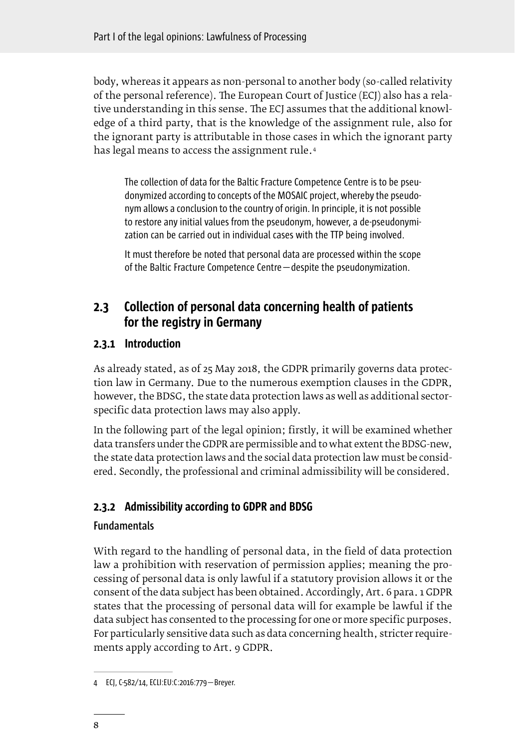body, whereas it appears as non-personal to another body (so-called relativity of the personal reference). The European Court of Justice (ECJ) also has a relative understanding in this sense. The ECJ assumes that the additional knowledge of a third party, that is the knowledge of the assignment rule, also for the ignorant party is attributable in those cases in which the ignorant party has legal means to access the assignment rule. 4

The collection of data for the Baltic Fracture Competence Centre is to be pseudonymized according to concepts of the MOSAIC project, whereby the pseudonym allows a conclusion to the country of origin. In principle, it is not possible to restore any initial values from the pseudonym, however, a de-pseudonymization can be carried out in individual cases with the TTP being involved.

It must therefore be noted that personal data are processed within the scope of the Baltic Fracture Competence Centre—despite the pseudonymization.

# **2.3 Collection of personal data concerning health of patients for the registry in Germany**

## **2.3.1 Introduction**

As already stated, as of 25 May 2018, the GDPR primarily governs data protection law in Germany. Due to the numerous exemption clauses in the GDPR, however, the BDSG, the state data protection laws as well as additional sectorspecific data protection laws may also apply.

In the following part of the legal opinion; firstly, it will be examined whether data transfers under the GDPR are permissible and to what extent the BDSG-new, the state data protection laws and the social data protection law must be considered. Secondly, the professional and criminal admissibility will be considered.

## **2.3.2 Admissibility according to GDPR and BDSG**

#### **Fundamentals**

With regard to the handling of personal data, in the field of data protection law a prohibition with reservation of permission applies; meaning the processing of personal data is only lawful if a statutory provision allows it or the consent of the data subject has been obtained. Accordingly, Art. 6 para. 1 GDPR states that the processing of personal data will for example be lawful if the data subject has consented to the processing for one or more specific purposes. For particularly sensitive data such as data concerning health, stricter requirements apply according to Art. 9 GDPR.

<sup>4</sup> ECJ, C-582/14, ECLI:EU:C:2016:779—Breyer.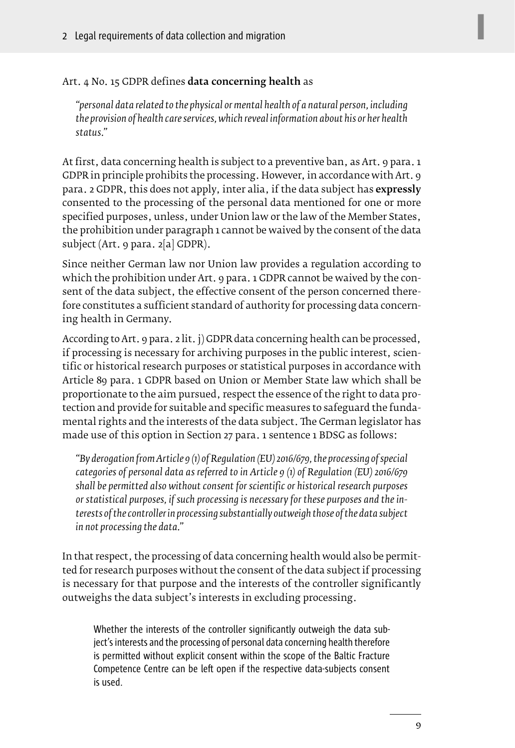#### Art. 4 No. 15 GDPR defines data concerning health as

*"personal data related to the physical or mental health of a natural person, including the provision of health care services, which reveal information about his or her health status."*

At first, data concerning health is subject to a preventive ban, as Art. 9 para. 1 GDPR in principle prohibits the processing. However, in accordance with Art. 9 para. 2 GDPR, this does not apply, inter alia, if the data subject has expressly consented to the processing of the personal data mentioned for one or more specified purposes, unless, under Union law or the law of the Member States, the prohibition under paragraph 1 cannot be waived by the consent of the data subject (Art. 9 para. 2[a] GDPR).

Since neither German law nor Union law provides a regulation according to which the prohibition under Art. 9 para. 1 GDPR cannot be waived by the consent of the data subject, the effective consent of the person concerned therefore constitutes a sufficient standard of authority for processing data concerning health in Germany.

According to Art. 9 para. 2 lit. j) GDPR data concerning health can be processed, if processing is necessary for archiving purposes in the public interest, scientific or historical research purposes or statistical purposes in accordance with Article 89 para. 1 GDPR based on Union or Member State law which shall be proportionate to the aim pursued, respect the essence of the right to data protection and provide for suitable and specific measures to safeguard the fundamental rights and the interests of the data subject. The German legislator has made use of this option in Section 27 para. 1 sentence 1 BDSG as follows:

*"By derogation from Article 9 (1) of Regulation (EU) 2016/679, the processing of special categories of personal data as referred to in Article 9 (1) of Regulation (EU) 2016/679 shall be permitted also without consent for scientific or historical research purposes or statistical purposes, if such processing is necessary for these purposes and the interests of the controller in processing substantially outweigh those of the data subject in not processing the data."*

In that respect, the processing of data concerning health would also be permitted for research purposes without the consent of the data subject if processing is necessary for that purpose and the interests of the controller significantly outweighs the data subject's interests in excluding processing.

Whether the interests of the controller significantly outweigh the data subject's interests and the processing of personal data concerning health therefore is permitted without explicit consent within the scope of the Baltic Fracture Competence Centre can be left open if the respective data-subjects consent is used.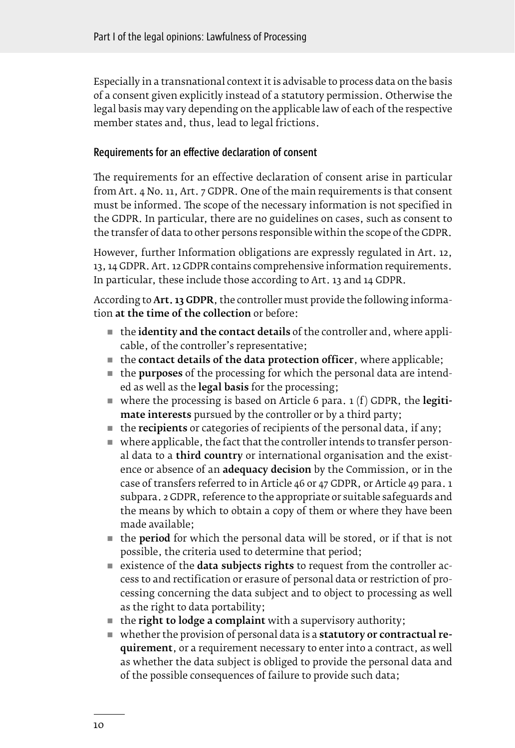Especially in a transnational context it is advisable to process data on the basis of a consent given explicitly instead of a statutory permission. Otherwise the legal basis may vary depending on the applicable law of each of the respective member states and, thus, lead to legal frictions.

#### **Requirements for an effective declaration of consent**

The requirements for an effective declaration of consent arise in particular from Art. 4 No. 11, Art. 7 GDPR. One of the main requirements is that consent must be informed. The scope of the necessary information is not specified in the GDPR. In particular, there are no guidelines on cases, such as consent to the transfer of data to other persons responsible within the scope of the GDPR.

However, further Information obligations are expressly regulated in Art. 12, 13, 14 GDPR. Art. 12 GDPR contains comprehensive information requirements. In particular, these include those according to Art. 13 and 14 GDPR.

According to Art. 13 GDPR, the controller must provide the following information at the time of the collection or before:

- $\blacksquare$  the identity and the contact details of the controller and, where applicable, of the controller's representative;
- $\blacksquare$  the contact details of the data protection officer, where applicable;
- the purposes of the processing for which the personal data are intended as well as the legal basis for the processing;
- where the processing is based on Article 6 para.  $1(f)$  GDPR, the legitimate interests pursued by the controller or by a third party;
- $\blacksquare$  the **recipients** or categories of recipients of the personal data, if any;
- where applicable, the fact that the controller intends to transfer personal data to a third country or international organisation and the existence or absence of an adequacy decision by the Commission, or in the case of transfers referred to in Article 46 or 47 GDPR, or Article 49 para. 1 subpara. 2 GDPR, reference to the appropriate or suitable safeguards and the means by which to obtain a copy of them or where they have been made available;
- the **period** for which the personal data will be stored, or if that is not possible, the criteria used to determine that period;
- existence of the **data subjects rights** to request from the controller access to and rectification or erasure of personal data or restriction of processing concerning the data subject and to object to processing as well as the right to data portability;
- $\blacksquare$  the right to lodge a complaint with a supervisory authority;
- whether the provision of personal data is a statutory or contractual requirement, or a requirement necessary to enter into a contract, as well as whether the data subject is obliged to provide the personal data and of the possible consequences of failure to provide such data;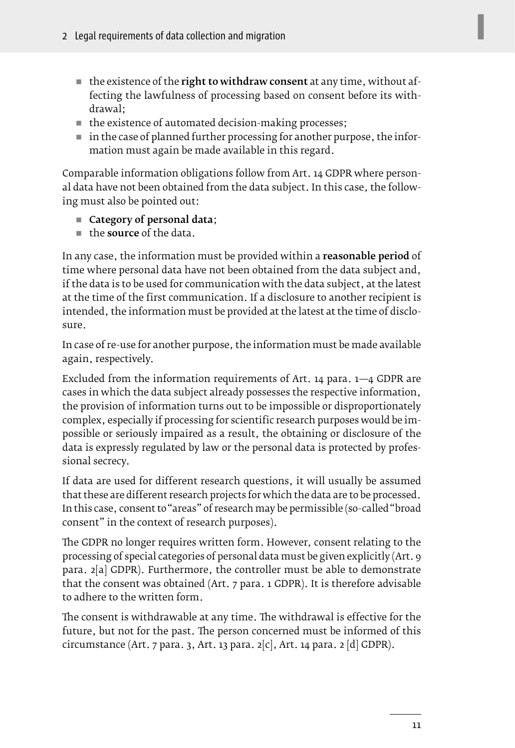- $\blacksquare$  the existence of the right to withdraw consent at any time, without affecting the lawfulness of processing based on consent before its withdrawal;
- $\blacksquare$  the existence of automated decision-making processes;
- in the case of planned further processing for another purpose, the information must again be made available in this regard.

Comparable information obligations follow from Art. 14 GDPR where personal data have not been obtained from the data subject. In this case, the following must also be pointed out:

- Category of personal data;
- $\blacksquare$  the source of the data.

In any case, the information must be provided within a reasonable period of time where personal data have not been obtained from the data subject and, if the data is to be used for communication with the data subject, at the latest at the time of the first communication. If a disclosure to another recipient is intended, the information must be provided at the latest at the time of disclosure.

In case of re-use for another purpose, the information must be made available again, respectively.

Excluded from the information requirements of Art. 14 para.  $1-4$  GDPR are cases in which the data subject already possesses the respective information, the provision of information turns out to be impossible or disproportionately complex, especially if processing for scientific research purposes would be impossible or seriously impaired as a result, the obtaining or disclosure of the data is expressly regulated by law or the personal data is protected by professional secrecy.

If data are used for different research questions, it will usually be assumed that these are different research projects for which the data are to be processed. In this case, consent to "areas" of research may be permissible (so-called "broad consent" in the context of research purposes).

The GDPR no longer requires written form. However, consent relating to the processing of special categories of personal data must be given explicitly (Art. 9 para. 2[a] GDPR). Furthermore, the controller must be able to demonstrate that the consent was obtained (Art. 7 para. 1 GDPR). It is therefore advisable to adhere to the written form.

The consent is withdrawable at any time. The withdrawal is effective for the future, but not for the past. The person concerned must be informed of this circumstance (Art. 7 para. 3, Art. 13 para. 2[c], Art. 14 para. 2 [d] GDPR).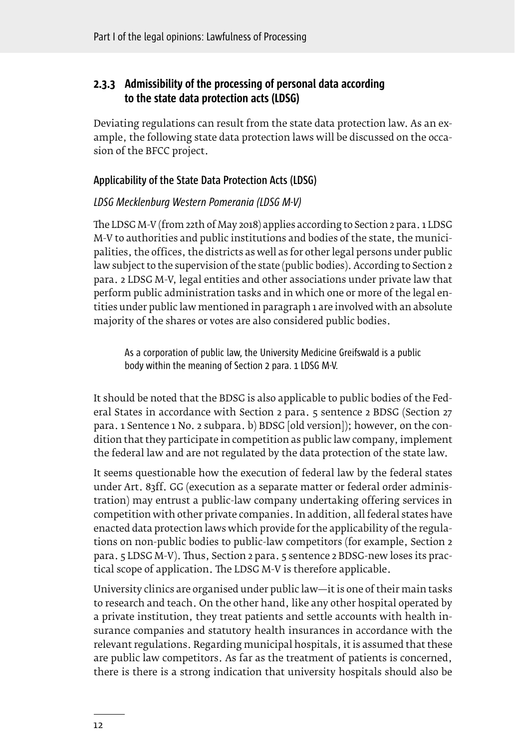#### **2.3.3 Admissibility of the processing of personal data according to the state data protection acts (LDSG)**

Deviating regulations can result from the state data protection law. As an example, the following state data protection laws will be discussed on the occasion of the BFCC project.

#### **Applicability of the State Data Protection Acts (LDSG)**

#### *LDSG Mecklenburg Western Pomerania (LDSG M-V)*

The LDSG M-V (from 22th of May 2018) applies according to Section 2 para. 1 LDSG M-V to authorities and public institutions and bodies of the state, the municipalities, the offices, the districts as well as for other legal persons under public law subject to the supervision of the state (public bodies). According to Section 2 para. 2 LDSG M-V, legal entities and other associations under private law that perform public administration tasks and in which one or more of the legal entities under public law mentioned in paragraph 1 are involved with an absolute majority of the shares or votes are also considered public bodies.

As a corporation of public law, the University Medicine Greifswald is a public body within the meaning of Section 2 para. 1 LDSG M-V.

It should be noted that the BDSG is also applicable to public bodies of the Federal States in accordance with Section 2 para. 5 sentence 2 BDSG (Section 27 para. 1 Sentence 1 No. 2 subpara. b) BDSG [old version]); however, on the condition that they participate in competition as public law company, implement the federal law and are not regulated by the data protection of the state law.

It seems questionable how the execution of federal law by the federal states under Art. 83ff. GG (execution as a separate matter or federal order administration) may entrust a public-law company undertaking offering services in competition with other private companies. In addition, all federal states have enacted data protection laws which provide for the applicability of the regulations on non-public bodies to public-law competitors (for example, Section 2 para. 5 LDSG M-V). Thus, Section 2 para. 5 sentence 2 BDSG-new loses its practical scope of application. The LDSG M-V is therefore applicable.

University clinics are organised under public law—it is one of their main tasks to research and teach. On the other hand, like any other hospital operated by a private institution, they treat patients and settle accounts with health insurance companies and statutory health insurances in accordance with the relevant regulations. Regarding municipal hospitals, it is assumed that these are public law competitors. As far as the treatment of patients is concerned, there is there is a strong indication that university hospitals should also be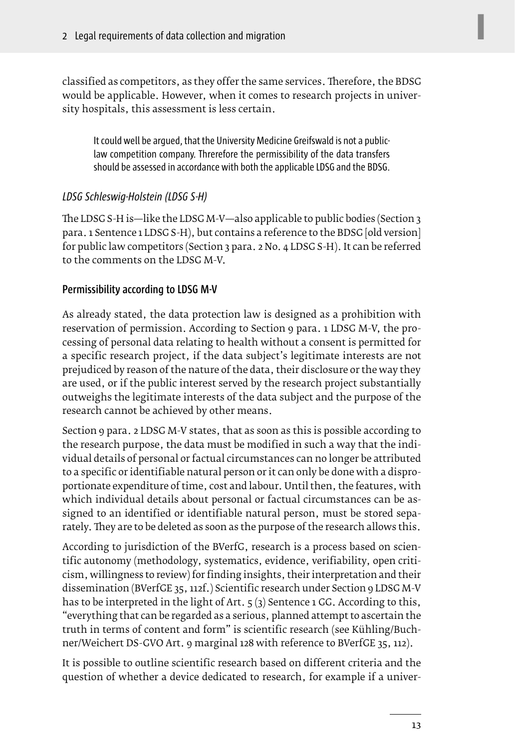classified as competitors, as they offer the same services. Therefore, the BDSG would be applicable. However, when it comes to research projects in university hospitals, this assessment is less certain.

It could well be argued, that the University Medicine Greifswald is not a publiclaw competition company. Threrefore the permissibility of the data transfers should be assessed in accordance with both the applicable LDSG and the BDSG.

#### *LDSG Schleswig-Holstein (LDSG S-H)*

The LDSG S-H is—like the LDSG M-V—also applicable to public bodies (Section 3 para. 1 Sentence 1 LDSG S-H), but contains a reference to the BDSG [old version] for public law competitors (Section 3 para. 2 No. 4 LDSG S-H). It can be referred to the comments on the LDSG M-V.

#### **Permissibility according to LDSG M-V**

As already stated, the data protection law is designed as a prohibition with reservation of permission. According to Section 9 para. 1 LDSG M-V, the processing of personal data relating to health without a consent is permitted for a specific research project, if the data subject's legitimate interests are not prejudiced by reason of the nature of the data, their disclosure or the way they are used, or if the public interest served by the research project substantially outweighs the legitimate interests of the data subject and the purpose of the research cannot be achieved by other means.

Section 9 para. 2 LDSG M-V states, that as soon as this is possible according to the research purpose, the data must be modified in such a way that the individual details of personal or factual circumstances can no longer be attributed to a specific or identifiable natural person or it can only be done with a disproportionate expenditure of time, cost and labour. Until then, the features, with which individual details about personal or factual circumstances can be assigned to an identified or identifiable natural person, must be stored separately. They are to be deleted as soon as the purpose of the research allows this.

According to jurisdiction of the BVerfG, research is a process based on scientific autonomy (methodology, systematics, evidence, verifiability, open criticism, willingness to review) for finding insights, their interpretation and their dissemination (BVerfGE 35, 112f.) Scientific research under Section 9 LDSG M-V has to be interpreted in the light of Art. 5 (3) Sentence 1 GG. According to this, "everything that can be regarded as a serious, planned attempt to ascertain the truth in terms of content and form" is scientific research (see Kühling/Buchner/Weichert DS-GVO Art. 9 marginal 128 with reference to BVerfGE 35, 112).

It is possible to outline scientific research based on different criteria and the question of whether a device dedicated to research, for example if a univer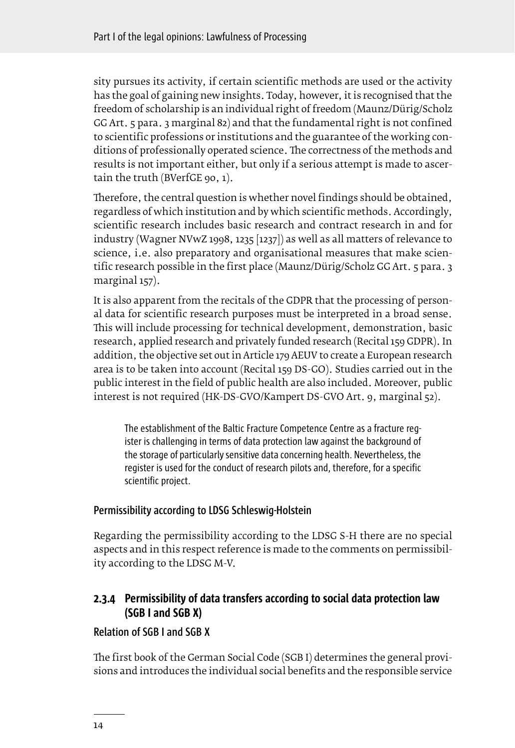sity pursues its activity, if certain scientific methods are used or the activity has the goal of gaining new insights. Today, however, it is recognised that the freedom of scholarship is an individual right of freedom (Maunz/Dürig/Scholz GG Art. 5 para. 3 marginal 82) and that the fundamental right is not confined to scientific professions or institutions and the guarantee of the working conditions of professionally operated science. The correctness of the methods and results is not important either, but only if a serious attempt is made to ascertain the truth (BVerfGE 90, 1).

Therefore, the central question is whether novel findings should be obtained, regardless of which institution and by which scientific methods. Accordingly, scientific research includes basic research and contract research in and for industry (Wagner NVwZ 1998, 1235 [1237]) as well as all matters of relevance to science, i.e. also preparatory and organisational measures that make scientific research possible in the first place (Maunz/Dürig/Scholz GG Art. 5 para. 3 marginal 157).

It is also apparent from the recitals of the GDPR that the processing of personal data for scientific research purposes must be interpreted in a broad sense. This will include processing for technical development, demonstration, basic research, applied research and privately funded research (Recital 159 GDPR). In addition, the objective set out in Article 179 AEUV to create a European research area is to be taken into account (Recital 159 DS-GO). Studies carried out in the public interest in the field of public health are also included. Moreover, public interest is not required (HK-DS-GVO/Kampert DS-GVO Art. 9, marginal 52).

The establishment of the Baltic Fracture Competence Centre as a fracture register is challenging in terms of data protection law against the background of the storage of particularly sensitive data concerning health. Nevertheless, the register is used for the conduct of research pilots and, therefore, for a specific scientific project.

#### **Permissibility according to LDSG Schleswig-Holstein**

Regarding the permissibility according to the LDSG S-H there are no special aspects and in this respect reference is made to the comments on permissibility according to the LDSG M-V.

## **2.3.4 Permissibility of data transfers according to social data protection law (SGB I and SGB X)**

#### **Relation of SGB I and SGB X**

The first book of the German Social Code (SGB I) determines the general provisions and introduces the individual social benefits and the responsible service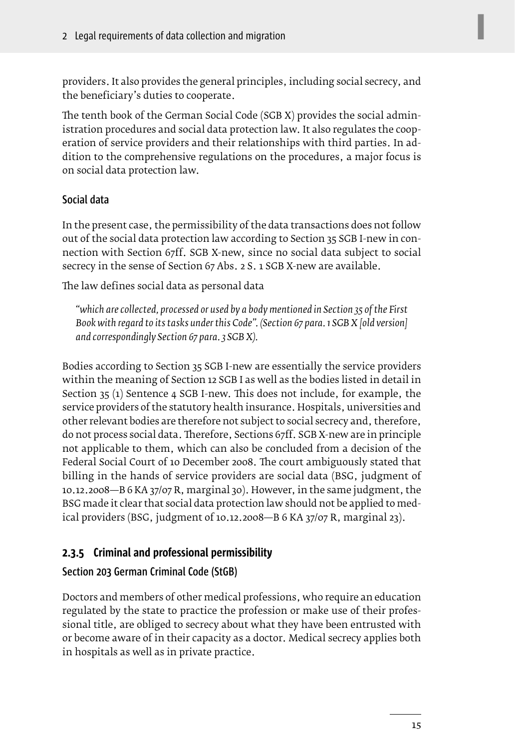providers. It also provides the general principles, including social secrecy, and the beneficiary's duties to cooperate.

The tenth book of the German Social Code (SGB X) provides the social administration procedures and social data protection law. It also regulates the cooperation of service providers and their relationships with third parties. In addition to the comprehensive regulations on the procedures, a major focus is on social data protection law.

#### **Social data**

In the present case, the permissibility of the data transactions does not follow out of the social data protection law according to Section 35 SGB I-new in connection with Section 67ff. SGB X-new, since no social data subject to social secrecy in the sense of Section 67 Abs. 2 S. 1 SGB X-new are available.

The law defines social data as personal data

*"which are collected, processed or used by a body mentioned in Section 35 of the First Book with regard to its tasks under this Code". (Section 67 para. 1 SGB X [old version] and correspondingly Section 67 para. 3 SGB X).*

Bodies according to Section 35 SGB I-new are essentially the service providers within the meaning of Section 12 SGB I as well as the bodies listed in detail in Section 35 (1) Sentence 4 SGB I-new. This does not include, for example, the service providers of the statutory health insurance. Hospitals, universities and other relevant bodies are therefore not subject to social secrecy and, therefore, do not process social data. Therefore, Sections 67ff. SGB X-new are in principle not applicable to them, which can also be concluded from a decision of the Federal Social Court of 10 December 2008. The court ambiguously stated that billing in the hands of service providers are social data (BSG, judgment of 10.12.2008—B 6 KA 37/07 R, marginal 30). However, in the same judgment, the BSG made it clear that social data protection law should not be applied to medical providers (BSG, judgment of 10.12.2008—B 6 KA 37/07 R, marginal 23).

## **2.3.5 Criminal and professional permissibility**

## **Section 203 German Criminal Code (StGB)**

Doctors and members of other medical professions, who require an education regulated by the state to practice the profession or make use of their professional title, are obliged to secrecy about what they have been entrusted with or become aware of in their capacity as a doctor. Medical secrecy applies both in hospitals as well as in private practice.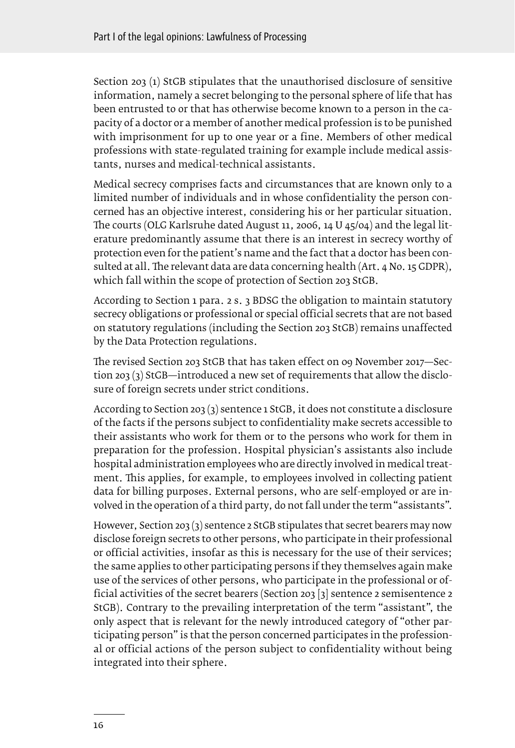Section 203 (1) StGB stipulates that the unauthorised disclosure of sensitive information, namely a secret belonging to the personal sphere of life that has been entrusted to or that has otherwise become known to a person in the capacity of a doctor or a member of another medical profession is to be punished with imprisonment for up to one year or a fine. Members of other medical professions with state-regulated training for example include medical assistants, nurses and medical-technical assistants.

Medical secrecy comprises facts and circumstances that are known only to a limited number of individuals and in whose confidentiality the person concerned has an objective interest, considering his or her particular situation. The courts (OLG Karlsruhe dated August 11, 2006, 14 U 45/04) and the legal literature predominantly assume that there is an interest in secrecy worthy of protection even for the patient's name and the fact that a doctor has been consulted at all. The relevant data are data concerning health (Art. 4 No. 15 GDPR), which fall within the scope of protection of Section 203 StGB.

According to Section 1 para. 2 s. 3 BDSG the obligation to maintain statutory secrecy obligations or professional or special official secrets that are not based on statutory regulations (including the Section 203 StGB) remains unaffected by the Data Protection regulations.

The revised Section 203 StGB that has taken effect on 09 November 2017—Section 203 (3) StGB—introduced a new set of requirements that allow the disclosure of foreign secrets under strict conditions.

According to Section 203 (3) sentence 1 StGB, it does not constitute a disclosure of the facts if the persons subject to confidentiality make secrets accessible to their assistants who work for them or to the persons who work for them in preparation for the profession. Hospital physician's assistants also include hospital administration employees who are directly involved in medical treatment. This applies, for example, to employees involved in collecting patient data for billing purposes. External persons, who are self-employed or are involved in the operation of a third party, do not fall under the term "assistants".

However, Section 203 (3) sentence 2 StGB stipulates that secret bearers may now disclose foreign secrets to other persons, who participate in their professional or official activities, insofar as this is necessary for the use of their services; the same applies to other participating persons if they themselves again make use of the services of other persons, who participate in the professional or official activities of the secret bearers (Section 203 [3] sentence 2 semisentence 2 StGB). Contrary to the prevailing interpretation of the term "assistant", the only aspect that is relevant for the newly introduced category of "other participating person" is that the person concerned participates in the professional or official actions of the person subject to confidentiality without being integrated into their sphere.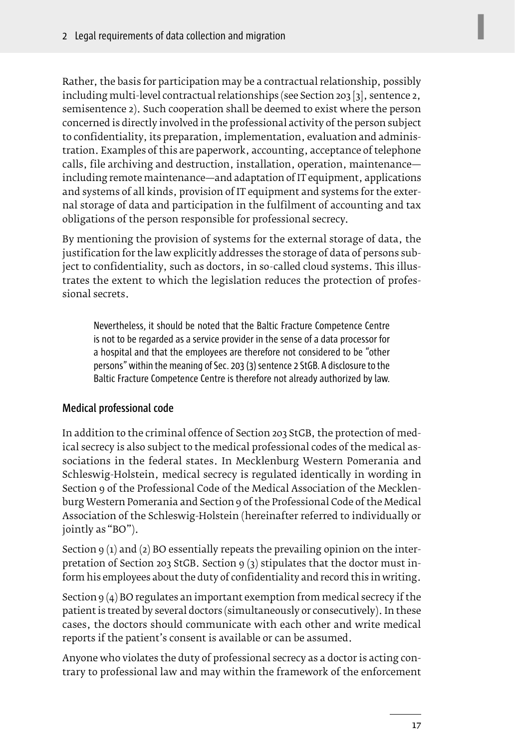Rather, the basis for participation may be a contractual relationship, possibly including multi-level contractual relationships (see Section 203 [3], sentence 2, semisentence 2). Such cooperation shall be deemed to exist where the person concerned is directly involved in the professional activity of the person subject to confidentiality, its preparation, implementation, evaluation and administration. Examples of this are paperwork, accounting, acceptance of telephone calls, file archiving and destruction, installation, operation, maintenance including remote maintenance—and adaptation of IT equipment, applications and systems of all kinds, provision of IT equipment and systems for the external storage of data and participation in the fulfilment of accounting and tax obligations of the person responsible for professional secrecy.

By mentioning the provision of systems for the external storage of data, the justification for the law explicitly addresses the storage of data of persons subject to confidentiality, such as doctors, in so-called cloud systems. This illustrates the extent to which the legislation reduces the protection of professional secrets.

Nevertheless, it should be noted that the Baltic Fracture Competence Centre is not to be regarded as a service provider in the sense of a data processor for a hospital and that the employees are therefore not considered to be "other persons" within the meaning of Sec. 203 (3) sentence 2 StGB. A disclosure to the Baltic Fracture Competence Centre is therefore not already authorized by law.

#### **Medical professional code**

In addition to the criminal offence of Section 203 StGB, the protection of medical secrecy is also subject to the medical professional codes of the medical associations in the federal states. In Mecklenburg Western Pomerania and Schleswig-Holstein, medical secrecy is regulated identically in wording in Section 9 of the Professional Code of the Medical Association of the Mecklenburg Western Pomerania and Section 9 of the Professional Code of the Medical Association of the Schleswig-Holstein (hereinafter referred to individually or jointly as "BO").

Section 9 (1) and (2) BO essentially repeats the prevailing opinion on the interpretation of Section 203 StGB. Section 9 (3) stipulates that the doctor must inform his employees about the duty of confidentiality and record this in writing.

Section 9 (4) BO regulates an important exemption from medical secrecy if the patient is treated by several doctors (simultaneously or consecutively). In these cases, the doctors should communicate with each other and write medical reports if the patient's consent is available or can be assumed.

Anyone who violates the duty of professional secrecy as a doctor is acting contrary to professional law and may within the framework of the enforcement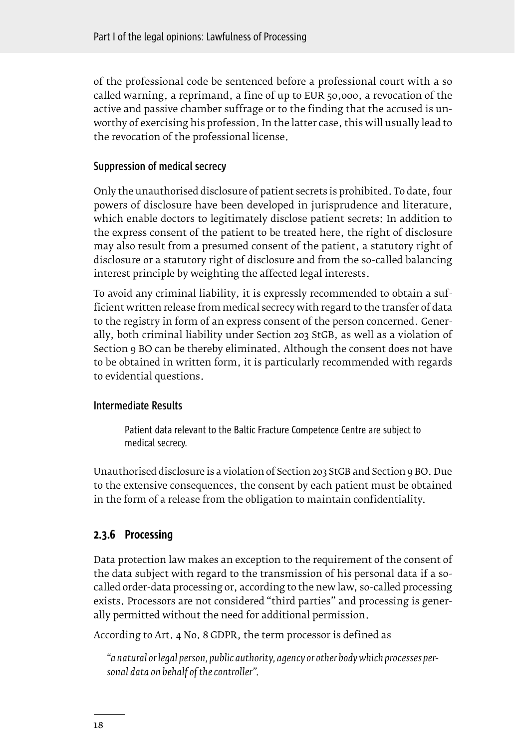of the professional code be sentenced before a professional court with a so called warning, a reprimand, a fine of up to EUR 50,000, a revocation of the active and passive chamber suffrage or to the finding that the accused is unworthy of exercising his profession. In the latter case, this will usually lead to the revocation of the professional license.

#### **Suppression of medical secrecy**

Only the unauthorised disclosure of patient secrets is prohibited. To date, four powers of disclosure have been developed in jurisprudence and literature, which enable doctors to legitimately disclose patient secrets: In addition to the express consent of the patient to be treated here, the right of disclosure may also result from a presumed consent of the patient, a statutory right of disclosure or a statutory right of disclosure and from the so-called balancing interest principle by weighting the affected legal interests.

To avoid any criminal liability, it is expressly recommended to obtain a sufficient written release from medical secrecy with regard to the transfer of data to the registry in form of an express consent of the person concerned. Generally, both criminal liability under Section 203 StGB, as well as a violation of Section 9 BO can be thereby eliminated. Although the consent does not have to be obtained in written form, it is particularly recommended with regards to evidential questions.

#### **Intermediate Results**

Patient data relevant to the Baltic Fracture Competence Centre are subject to medical secrecy.

Unauthorised disclosure is a violation of Section 203 StGB and Section 9 BO. Due to the extensive consequences, the consent by each patient must be obtained in the form of a release from the obligation to maintain confidentiality.

## **2.3.6 Processing**

Data protection law makes an exception to the requirement of the consent of the data subject with regard to the transmission of his personal data if a socalled order-data processing or, according to the new law, so-called processing exists. Processors are not considered "third parties" and processing is generally permitted without the need for additional permission.

According to Art. 4 No. 8 GDPR, the term processor is defined as

*"a natural or legal person, public authority, agency or other body which processes personal data on behalf of the controller".*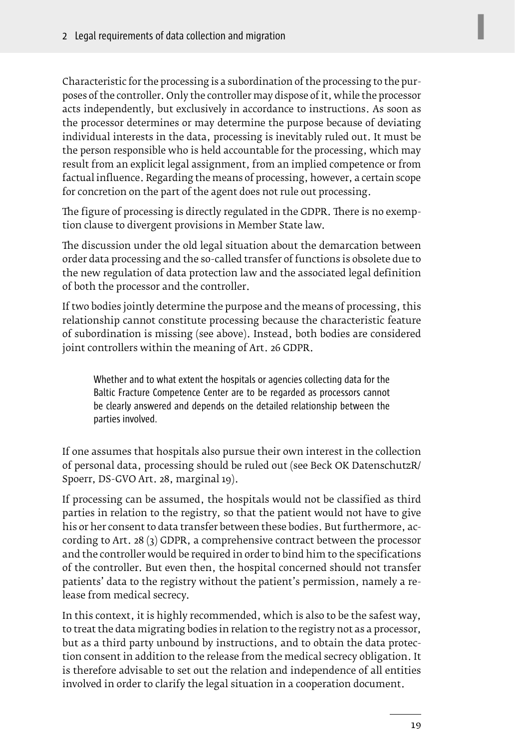Characteristic for the processing is a subordination of the processing to the purposes of the controller. Only the controller may dispose of it, while the processor acts independently, but exclusively in accordance to instructions. As soon as the processor determines or may determine the purpose because of deviating individual interests in the data, processing is inevitably ruled out. It must be the person responsible who is held accountable for the processing, which may result from an explicit legal assignment, from an implied competence or from factual influence. Regarding the means of processing, however, a certain scope for concretion on the part of the agent does not rule out processing.

The figure of processing is directly regulated in the GDPR. There is no exemption clause to divergent provisions in Member State law.

The discussion under the old legal situation about the demarcation between order data processing and the so-called transfer of functions is obsolete due to the new regulation of data protection law and the associated legal definition of both the processor and the controller.

If two bodies jointly determine the purpose and the means of processing, this relationship cannot constitute processing because the characteristic feature of subordination is missing (see above). Instead, both bodies are considered joint controllers within the meaning of Art. 26 GDPR.

Whether and to what extent the hospitals or agencies collecting data for the Baltic Fracture Competence Center are to be regarded as processors cannot be clearly answered and depends on the detailed relationship between the parties involved.

If one assumes that hospitals also pursue their own interest in the collection of personal data, processing should be ruled out (see Beck OK DatenschutzR/ Spoerr, DS-GVO Art. 28, marginal 19).

If processing can be assumed, the hospitals would not be classified as third parties in relation to the registry, so that the patient would not have to give his or her consent to data transfer between these bodies. But furthermore, according to Art. 28 (3) GDPR, a comprehensive contract between the processor and the controller would be required in order to bind him to the specifications of the controller. But even then, the hospital concerned should not transfer patients' data to the registry without the patient's permission, namely a release from medical secrecy.

In this context, it is highly recommended, which is also to be the safest way, to treat the data migrating bodies in relation to the registry not as a processor, but as a third party unbound by instructions, and to obtain the data protection consent in addition to the release from the medical secrecy obligation. It is therefore advisable to set out the relation and independence of all entities involved in order to clarify the legal situation in a cooperation document.